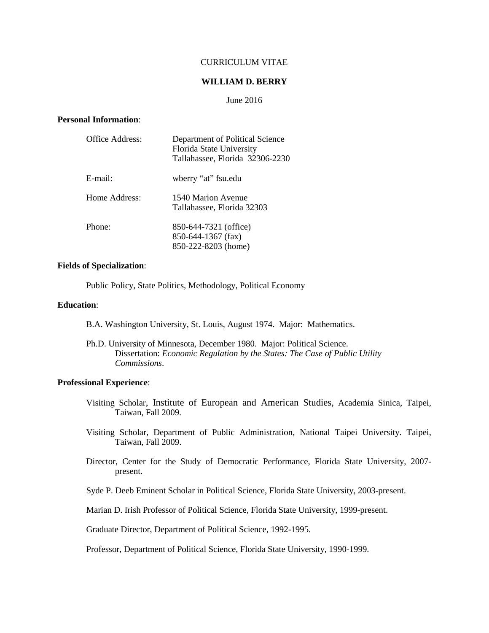# CURRICULUM VITAE

### **WILLIAM D. BERRY**

#### June 2016

### **Personal Information**:

| Office Address: | Department of Political Science<br>Florida State University<br>Tallahassee, Florida 32306-2230 |
|-----------------|------------------------------------------------------------------------------------------------|
| E-mail:         | wberry "at" fsu.edu                                                                            |
| Home Address:   | 1540 Marion Avenue<br>Tallahassee, Florida 32303                                               |
| Phone:          | 850-644-7321 (office)<br>850-644-1367 (fax)<br>850-222-8203 (home)                             |

## **Fields of Specialization**:

Public Policy, State Politics, Methodology, Political Economy

# **Education**:

- B.A. Washington University, St. Louis, August 1974. Major: Mathematics.
- Ph.D. University of Minnesota, December 1980. Major: Political Science. Dissertation: *Economic Regulation by the States: The Case of Public Utility Commissions*.

## **Professional Experience**:

- Visiting Scholar, Institute of European and American Studies, Academia Sinica, Taipei, Taiwan, Fall 2009.
- Visiting Scholar, Department of Public Administration, National Taipei University. Taipei, Taiwan, Fall 2009.
- Director, Center for the Study of Democratic Performance, Florida State University, 2007 present.
- Syde P. Deeb Eminent Scholar in Political Science, Florida State University, 2003-present.

Marian D. Irish Professor of Political Science, Florida State University, 1999-present.

Graduate Director, Department of Political Science, 1992-1995.

Professor, Department of Political Science, Florida State University, 1990-1999.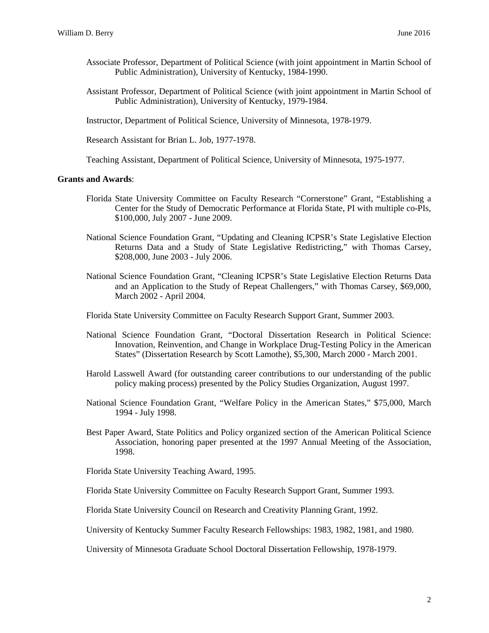- Associate Professor, Department of Political Science (with joint appointment in Martin School of Public Administration), University of Kentucky, 1984-1990.
- Assistant Professor, Department of Political Science (with joint appointment in Martin School of Public Administration), University of Kentucky, 1979-1984.
- Instructor, Department of Political Science, University of Minnesota, 1978-1979.

Research Assistant for Brian L. Job, 1977-1978.

Teaching Assistant, Department of Political Science, University of Minnesota, 1975-1977.

#### **Grants and Awards**:

- Florida State University Committee on Faculty Research "Cornerstone" Grant, "Establishing a Center for the Study of Democratic Performance at Florida State, PI with multiple co-PIs, \$100,000, July 2007 - June 2009.
- National Science Foundation Grant, "Updating and Cleaning ICPSR's State Legislative Election Returns Data and a Study of State Legislative Redistricting," with Thomas Carsey, \$208,000, June 2003 - July 2006.
- National Science Foundation Grant, "Cleaning ICPSR's State Legislative Election Returns Data and an Application to the Study of Repeat Challengers," with Thomas Carsey, \$69,000, March 2002 - April 2004.
- Florida State University Committee on Faculty Research Support Grant, Summer 2003.
- National Science Foundation Grant, "Doctoral Dissertation Research in Political Science: Innovation, Reinvention, and Change in Workplace Drug-Testing Policy in the American States" (Dissertation Research by Scott Lamothe), \$5,300, March 2000 - March 2001.
- Harold Lasswell Award (for outstanding career contributions to our understanding of the public policy making process) presented by the Policy Studies Organization, August 1997.
- National Science Foundation Grant, "Welfare Policy in the American States," \$75,000, March 1994 - July 1998.
- Best Paper Award, State Politics and Policy organized section of the American Political Science Association, honoring paper presented at the 1997 Annual Meeting of the Association, 1998.
- Florida State University Teaching Award, 1995.
- Florida State University Committee on Faculty Research Support Grant, Summer 1993.

Florida State University Council on Research and Creativity Planning Grant, 1992.

University of Kentucky Summer Faculty Research Fellowships: 1983, 1982, 1981, and 1980.

University of Minnesota Graduate School Doctoral Dissertation Fellowship, 1978-1979.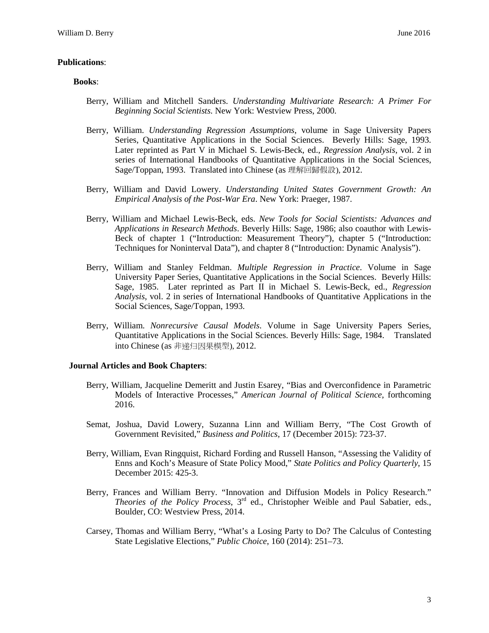## **Publications**:

#### **Books**:

- Berry, William and Mitchell Sanders. *Understanding Multivariate Research: A Primer For Beginning Social Scientists.* New York: Westview Press, 2000.
- Berry, William. *Understanding Regression Assumptions*, volume in Sage University Papers Series, Quantitative Applications in the Social Sciences. Beverly Hills: Sage, 1993. Later reprinted as Part V in Michael S. Lewis-Beck, ed., *Regression Analysis*, vol. 2 in series of International Handbooks of Quantitative Applications in the Social Sciences, Sage/Toppan, 1993. Translated into Chinese (as 理解回歸假設), 2012.
- Berry, William and David Lowery. *Understanding United States Government Growth: An Empirical Analysis of the Post-War Era*. New York: Praeger, 1987.
- Berry, William and Michael Lewis-Beck, eds. *New Tools for Social Scientists: Advances and Applications in Research Methods*. Beverly Hills: Sage, 1986; also coauthor with Lewis-Beck of chapter 1 ("Introduction: Measurement Theory"), chapter 5 ("Introduction: Techniques for Noninterval Data"), and chapter 8 ("Introduction: Dynamic Analysis").
- Berry, William and Stanley Feldman. *Multiple Regression in Practice*. Volume in Sage University Paper Series, Quantitative Applications in the Social Sciences. Beverly Hills: Sage, 1985. Later reprinted as Part II in Michael S. Lewis-Beck, ed., *Regression Analysis*, vol. 2 in series of International Handbooks of Quantitative Applications in the Social Sciences, Sage/Toppan, 1993.
- Berry, William. *Nonrecursive Causal Models*. Volume in Sage University Papers Series, Quantitative Applications in the Social Sciences. Beverly Hills: Sage, 1984. Translated into Chinese (as 非递归因果模型), 2012.

## **Journal Articles and Book Chapters**:

- Berry, William, Jacqueline Demeritt and Justin Esarey, "Bias and Overconfidence in Parametric Models of Interactive Processes," *American Journal of Political Science*, forthcoming 2016.
- Semat, Joshua, David Lowery, Suzanna Linn and William Berry, "The Cost Growth of Government Revisited," *Business and Politics*, 17 (December 2015): 723-37.
- Berry, William, Evan Ringquist, Richard Fording and Russell Hanson, "Assessing the Validity of Enns and Koch's Measure of State Policy Mood," *State Politics and Policy Quarterly*, 15 December 2015: 425-3.
- Berry, Frances and William Berry. "Innovation and Diffusion Models in Policy Research." *Theories of the Policy Process*, 3rd ed., Christopher Weible and Paul Sabatier, eds., Boulder, CO: Westview Press, 2014.
- Carsey, Thomas and William Berry, "What's a Losing Party to Do? The Calculus of Contesting State Legislative Elections," *Public Choice*, 160 (2014): 251–73.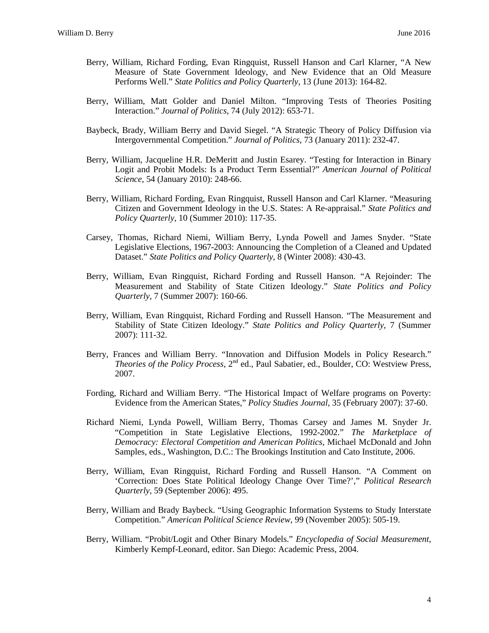- Berry, William, Richard Fording, Evan Ringquist, Russell Hanson and Carl Klarner, "A New Measure of State Government Ideology, and New Evidence that an Old Measure Performs Well." *State Politics and Policy Quarterly*, 13 (June 2013): 164-82.
- Berry, William, Matt Golder and Daniel Milton. "Improving Tests of Theories Positing Interaction." *Journal of Politics*, 74 (July 2012): 653-71.
- Baybeck, Brady, William Berry and David Siegel. "A Strategic Theory of Policy Diffusion via Intergovernmental Competition." *Journal of Politics*, 73 (January 2011): 232-47.
- Berry, William, Jacqueline H.R. DeMeritt and Justin Esarey. "Testing for Interaction in Binary Logit and Probit Models: Is a Product Term Essential?" *American Journal of Political Science*, 54 (January 2010): 248-66.
- Berry, William, Richard Fording, Evan Ringquist, Russell Hanson and Carl Klarner. "Measuring Citizen and Government Ideology in the U.S. States: A Re-appraisal." *State Politics and Policy Quarterly*, 10 (Summer 2010): 117-35.
- Carsey, Thomas, Richard Niemi, William Berry, Lynda Powell and James Snyder. "State Legislative Elections, 1967-2003: Announcing the Completion of a Cleaned and Updated Dataset." *State Politics and Policy Quarterly*, 8 (Winter 2008): 430-43.
- Berry, William, Evan Ringquist, Richard Fording and Russell Hanson. "A Rejoinder: The Measurement and Stability of State Citizen Ideology." *State Politics and Policy Quarterly*, 7 (Summer 2007): 160-66.
- Berry, William, Evan Ringquist, Richard Fording and Russell Hanson. "The Measurement and Stability of State Citizen Ideology." *State Politics and Policy Quarterly*, 7 (Summer 2007): 111-32.
- Berry, Frances and William Berry. "Innovation and Diffusion Models in Policy Research." *Theories of the Policy Process*, 2nd ed., Paul Sabatier, ed., Boulder, CO: Westview Press, 2007.
- Fording, Richard and William Berry. "The Historical Impact of Welfare programs on Poverty: Evidence from the American States," *Policy Studies Journal*, 35 (February 2007): 37-60.
- Richard Niemi, Lynda Powell, William Berry, Thomas Carsey and James M. Snyder Jr. "Competition in State Legislative Elections, 1992-2002." *The Marketplace of Democracy: Electoral Competition and American Politics*, Michael McDonald and John Samples, eds., Washington, D.C.: The Brookings Institution and Cato Institute, 2006.
- Berry, William, Evan Ringquist, Richard Fording and Russell Hanson. "A Comment on 'Correction: Does State Political Ideology Change Over Time?'," *Political Research Quarterly*, 59 (September 2006): 495.
- Berry, William and Brady Baybeck. "Using Geographic Information Systems to Study Interstate Competition." *American Political Science Review*, 99 (November 2005): 505-19.
- Berry, William. "Probit/Logit and Other Binary Models." *Encyclopedia of Social Measurement*, Kimberly Kempf-Leonard, editor. San Diego: Academic Press, 2004.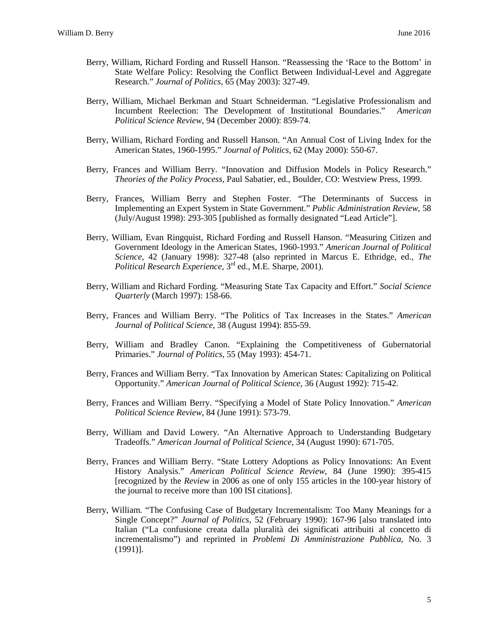- Berry, William, Richard Fording and Russell Hanson. "Reassessing the 'Race to the Bottom' in State Welfare Policy: Resolving the Conflict Between Individual-Level and Aggregate Research." *Journal of Politics*, 65 (May 2003): 327-49.
- Berry, William, Michael Berkman and Stuart Schneiderman. "Legislative Professionalism and Incumbent Reelection: The Development of Institutional Boundaries." *American Political Science Review*, 94 (December 2000): 859-74.
- Berry, William, Richard Fording and Russell Hanson. "An Annual Cost of Living Index for the American States, 1960-1995." *Journal of Politics*, 62 (May 2000): 550-67.
- Berry, Frances and William Berry. "Innovation and Diffusion Models in Policy Research." *Theories of the Policy Process*, Paul Sabatier, ed., Boulder, CO: Westview Press, 1999.
- Berry, Frances, William Berry and Stephen Foster. "The Determinants of Success in Implementing an Expert System in State Government." *Public Administration Review*, 58 (July/August 1998): 293-305 [published as formally designated "Lead Article"].
- Berry, William, Evan Ringquist, Richard Fording and Russell Hanson. "Measuring Citizen and Government Ideology in the American States, 1960-1993." *American Journal of Political Science*, 42 (January 1998): 327-48 (also reprinted in Marcus E. Ethridge, ed., *The Political Research Experience*, 3<sup>rd</sup> ed., M.E. Sharpe, 2001).
- Berry, William and Richard Fording. "Measuring State Tax Capacity and Effort." *Social Science Quarterly* (March 1997): 158-66.
- Berry, Frances and William Berry. "The Politics of Tax Increases in the States." *American Journal of Political Science*, 38 (August 1994): 855-59.
- Berry, William and Bradley Canon. "Explaining the Competitiveness of Gubernatorial Primaries." *Journal of Politics*, 55 (May 1993): 454-71.
- Berry, Frances and William Berry. "Tax Innovation by American States: Capitalizing on Political Opportunity." *American Journal of Political Science*, 36 (August 1992): 715-42.
- Berry, Frances and William Berry. "Specifying a Model of State Policy Innovation." *American Political Science Review*, 84 (June 1991): 573-79.
- Berry, William and David Lowery. "An Alternative Approach to Understanding Budgetary Tradeoffs." *American Journal of Political Science*, 34 (August 1990): 671-705.
- Berry, Frances and William Berry. "State Lottery Adoptions as Policy Innovations: An Event History Analysis." *American Political Science Review*, 84 (June 1990): 395-415 [recognized by the *Review* in 2006 as one of only 155 articles in the 100-year history of the journal to receive more than 100 ISI citations].
- Berry, William. "The Confusing Case of Budgetary Incrementalism: Too Many Meanings for a Single Concept?" *Journal of Politics*, 52 (February 1990): 167-96 [also translated into Italian ("La confusione creata dalla pluralità dei significati attribuiti al concetto di incrementalismo") and reprinted in *Problemi Di Amministrazione Pubblica*, No. 3 (1991)].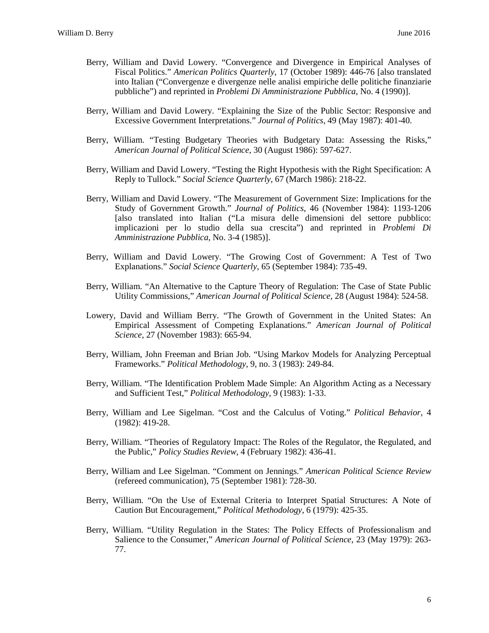- Berry, William and David Lowery. "Convergence and Divergence in Empirical Analyses of Fiscal Politics." *American Politics Quarterly*, 17 (October 1989): 446-76 [also translated into Italian ("Convergenze e divergenze nelle analisi empiriche delle politiche finanziarie pubbliche") and reprinted in *Problemi Di Amministrazione Pubblica*, No. 4 (1990)].
- Berry, William and David Lowery. "Explaining the Size of the Public Sector: Responsive and Excessive Government Interpretations." *Journal of Politics*, 49 (May 1987): 401-40.
- Berry, William. "Testing Budgetary Theories with Budgetary Data: Assessing the Risks," *American Journal of Political Science*, 30 (August 1986): 597-627.
- Berry, William and David Lowery. "Testing the Right Hypothesis with the Right Specification: A Reply to Tullock." *Social Science Quarterly*, 67 (March 1986): 218-22.
- Berry, William and David Lowery. "The Measurement of Government Size: Implications for the Study of Government Growth." *Journal of Politics*, 46 (November 1984): 1193-1206 [also translated into Italian ("La misura delle dimensioni del settore pubblico: implicazioni per lo studio della sua crescita") and reprinted in *Problemi Di Amministrazione Pubblica*, No. 3-4 (1985)].
- Berry, William and David Lowery. "The Growing Cost of Government: A Test of Two Explanations." *Social Science Quarterly*, 65 (September 1984): 735-49.
- Berry, William. "An Alternative to the Capture Theory of Regulation: The Case of State Public Utility Commissions," *American Journal of Political Science*, 28 (August 1984): 524-58.
- Lowery, David and William Berry. "The Growth of Government in the United States: An Empirical Assessment of Competing Explanations." *American Journal of Political Science*, 27 (November 1983): 665-94.
- Berry, William, John Freeman and Brian Job. "Using Markov Models for Analyzing Perceptual Frameworks." *Political Methodology*, 9, no. 3 (1983): 249-84.
- Berry, William. "The Identification Problem Made Simple: An Algorithm Acting as a Necessary and Sufficient Test," *Political Methodology*, 9 (1983): 1-33.
- Berry, William and Lee Sigelman. "Cost and the Calculus of Voting." *Political Behavior*, 4 (1982): 419-28.
- Berry, William. "Theories of Regulatory Impact: The Roles of the Regulator, the Regulated, and the Public," *Policy Studies Review*, 4 (February 1982): 436-41.
- Berry, William and Lee Sigelman. "Comment on Jennings." *American Political Science Review* (refereed communication), 75 (September 1981): 728-30.
- Berry, William. "On the Use of External Criteria to Interpret Spatial Structures: A Note of Caution But Encouragement," *Political Methodology*, 6 (1979): 425-35.
- Berry, William. "Utility Regulation in the States: The Policy Effects of Professionalism and Salience to the Consumer," *American Journal of Political Science*, 23 (May 1979): 263- 77.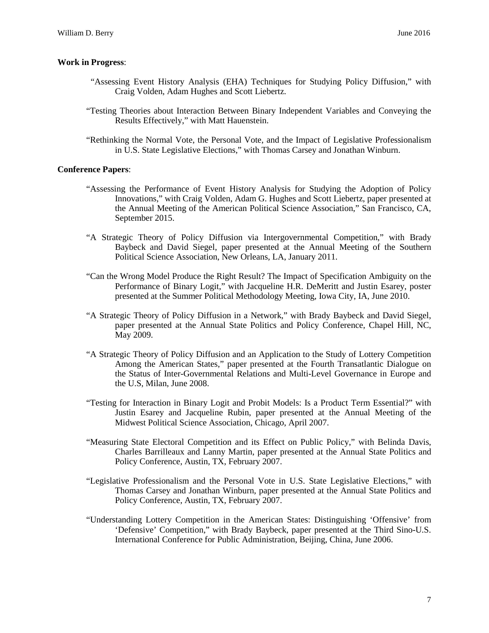### **Work in Progress**:

- "Assessing Event History Analysis (EHA) Techniques for Studying Policy Diffusion," with Craig Volden, Adam Hughes and Scott Liebertz.
- "Testing Theories about Interaction Between Binary Independent Variables and Conveying the Results Effectively," with Matt Hauenstein.
- "Rethinking the Normal Vote, the Personal Vote, and the Impact of Legislative Professionalism in U.S. State Legislative Elections," with Thomas Carsey and Jonathan Winburn.

### **Conference Papers**:

- "Assessing the Performance of Event History Analysis for Studying the Adoption of Policy Innovations," with Craig Volden, Adam G. Hughes and Scott Liebertz, paper presented at the Annual Meeting of the American Political Science Association," San Francisco, CA, September 2015.
- "A Strategic Theory of Policy Diffusion via Intergovernmental Competition," with Brady Baybeck and David Siegel, paper presented at the Annual Meeting of the Southern Political Science Association, New Orleans, LA, January 2011.
- "Can the Wrong Model Produce the Right Result? The Impact of Specification Ambiguity on the Performance of Binary Logit," with Jacqueline H.R. DeMeritt and Justin Esarey, poster presented at the Summer Political Methodology Meeting, Iowa City, IA, June 2010.
- "A Strategic Theory of Policy Diffusion in a Network," with Brady Baybeck and David Siegel, paper presented at the Annual State Politics and Policy Conference, Chapel Hill, NC, May 2009.
- "A Strategic Theory of Policy Diffusion and an Application to the Study of Lottery Competition Among the American States," paper presented at the Fourth Transatlantic Dialogue on the Status of Inter-Governmental Relations and Multi-Level Governance in Europe and the U.S, Milan, June 2008.
- "Testing for Interaction in Binary Logit and Probit Models: Is a Product Term Essential?" with Justin Esarey and Jacqueline Rubin, paper presented at the Annual Meeting of the Midwest Political Science Association, Chicago, April 2007.
- "Measuring State Electoral Competition and its Effect on Public Policy," with Belinda Davis, Charles Barrilleaux and Lanny Martin, paper presented at the Annual State Politics and Policy Conference, Austin, TX, February 2007.
- "Legislative Professionalism and the Personal Vote in U.S. State Legislative Elections," with Thomas Carsey and Jonathan Winburn, paper presented at the Annual State Politics and Policy Conference, Austin, TX, February 2007.
- "Understanding Lottery Competition in the American States: Distinguishing 'Offensive' from 'Defensive' Competition," with Brady Baybeck, paper presented at the Third Sino-U.S. International Conference for Public Administration, Beijing, China, June 2006.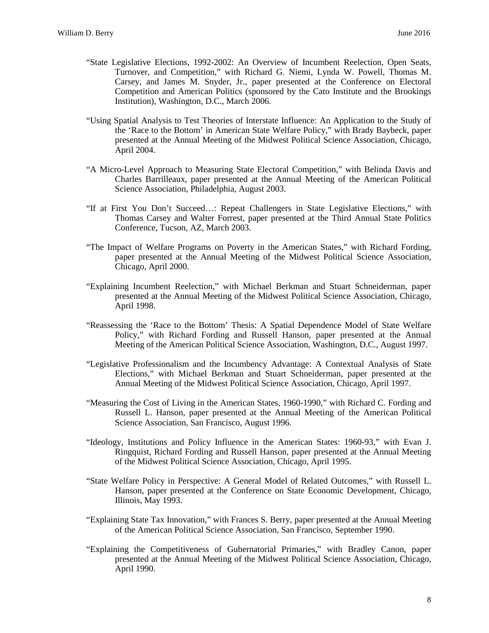- "State Legislative Elections, 1992-2002: An Overview of Incumbent Reelection, Open Seats, Turnover, and Competition," with Richard G. Niemi, Lynda W. Powell, Thomas M. Carsey, and James M. Snyder, Jr., paper presented at the Conference on Electoral Competition and American Politics (sponsored by the Cato Institute and the Brookings Institution), Washington, D.C., March 2006.
- "Using Spatial Analysis to Test Theories of Interstate Influence: An Application to the Study of the 'Race to the Bottom' in American State Welfare Policy," with Brady Baybeck, paper presented at the Annual Meeting of the Midwest Political Science Association, Chicago, April 2004.
- "A Micro-Level Approach to Measuring State Electoral Competition," with Belinda Davis and Charles Barrilleaux, paper presented at the Annual Meeting of the American Political Science Association, Philadelphia, August 2003.
- "If at First You Don't Succeed…: Repeat Challengers in State Legislative Elections," with Thomas Carsey and Walter Forrest, paper presented at the Third Annual State Politics Conference, Tucson, AZ, March 2003.
- "The Impact of Welfare Programs on Poverty in the American States," with Richard Fording, paper presented at the Annual Meeting of the Midwest Political Science Association, Chicago, April 2000.
- "Explaining Incumbent Reelection," with Michael Berkman and Stuart Schneiderman, paper presented at the Annual Meeting of the Midwest Political Science Association, Chicago, April 1998.
- "Reassessing the 'Race to the Bottom' Thesis: A Spatial Dependence Model of State Welfare Policy," with Richard Fording and Russell Hanson, paper presented at the Annual Meeting of the American Political Science Association, Washington, D.C., August 1997.
- "Legislative Professionalism and the Incumbency Advantage: A Contextual Analysis of State Elections," with Michael Berkman and Stuart Schneiderman, paper presented at the Annual Meeting of the Midwest Political Science Association, Chicago, April 1997.
- "Measuring the Cost of Living in the American States, 1960-1990," with Richard C. Fording and Russell L. Hanson, paper presented at the Annual Meeting of the American Political Science Association, San Francisco, August 1996.
- "Ideology, Institutions and Policy Influence in the American States: 1960-93," with Evan J. Ringquist, Richard Fording and Russell Hanson, paper presented at the Annual Meeting of the Midwest Political Science Association, Chicago, April 1995.
- "State Welfare Policy in Perspective: A General Model of Related Outcomes," with Russell L. Hanson, paper presented at the Conference on State Economic Development, Chicago, Illinois, May 1993.
- "Explaining State Tax Innovation," with Frances S. Berry, paper presented at the Annual Meeting of the American Political Science Association, San Francisco, September 1990.
- "Explaining the Competitiveness of Gubernatorial Primaries," with Bradley Canon, paper presented at the Annual Meeting of the Midwest Political Science Association, Chicago, April 1990.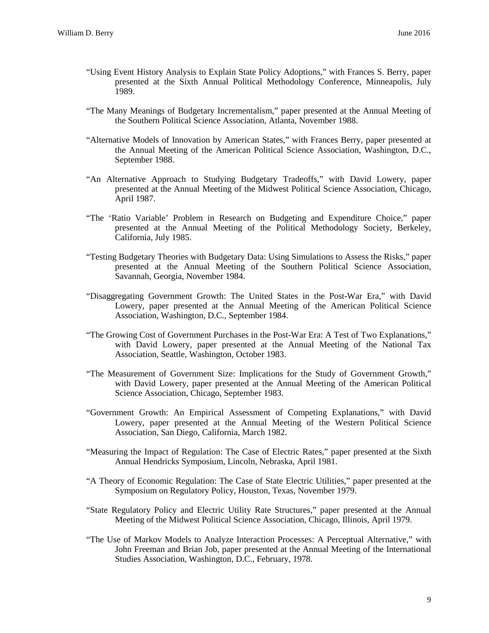- "Using Event History Analysis to Explain State Policy Adoptions," with Frances S. Berry, paper presented at the Sixth Annual Political Methodology Conference, Minneapolis, July 1989.
- "The Many Meanings of Budgetary Incrementalism," paper presented at the Annual Meeting of the Southern Political Science Association, Atlanta, November 1988.
- "Alternative Models of Innovation by American States," with Frances Berry, paper presented at the Annual Meeting of the American Political Science Association, Washington, D.C., September 1988.
- "An Alternative Approach to Studying Budgetary Tradeoffs," with David Lowery, paper presented at the Annual Meeting of the Midwest Political Science Association, Chicago, April 1987.
- "The 'Ratio Variable' Problem in Research on Budgeting and Expenditure Choice," paper presented at the Annual Meeting of the Political Methodology Society, Berkeley, California, July 1985.
- "Testing Budgetary Theories with Budgetary Data: Using Simulations to Assess the Risks," paper presented at the Annual Meeting of the Southern Political Science Association, Savannah, Georgia, November 1984.
- "Disaggregating Government Growth: The United States in the Post-War Era," with David Lowery, paper presented at the Annual Meeting of the American Political Science Association, Washington, D.C., September 1984.
- "The Growing Cost of Government Purchases in the Post-War Era: A Test of Two Explanations," with David Lowery, paper presented at the Annual Meeting of the National Tax Association, Seattle, Washington, October 1983.
- "The Measurement of Government Size: Implications for the Study of Government Growth," with David Lowery, paper presented at the Annual Meeting of the American Political Science Association, Chicago, September 1983.
- "Government Growth: An Empirical Assessment of Competing Explanations," with David Lowery, paper presented at the Annual Meeting of the Western Political Science Association, San Diego, California, March 1982.
- "Measuring the Impact of Regulation: The Case of Electric Rates," paper presented at the Sixth Annual Hendricks Symposium, Lincoln, Nebraska, April 1981.
- "A Theory of Economic Regulation: The Case of State Electric Utilities," paper presented at the Symposium on Regulatory Policy, Houston, Texas, November 1979.
- "State Regulatory Policy and Electric Utility Rate Structures," paper presented at the Annual Meeting of the Midwest Political Science Association, Chicago, Illinois, April 1979.
- "The Use of Markov Models to Analyze Interaction Processes: A Perceptual Alternative," with John Freeman and Brian Job, paper presented at the Annual Meeting of the International Studies Association, Washington, D.C., February, 1978.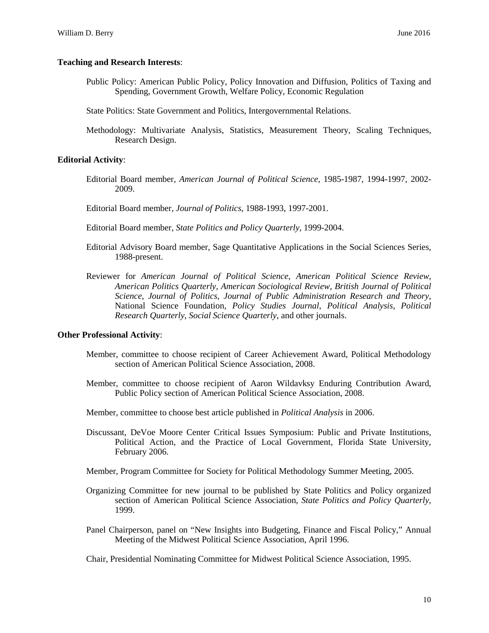# **Teaching and Research Interests**:

- Public Policy: American Public Policy, Policy Innovation and Diffusion, Politics of Taxing and Spending, Government Growth, Welfare Policy, Economic Regulation
- State Politics: State Government and Politics, Intergovernmental Relations.
- Methodology: Multivariate Analysis, Statistics, Measurement Theory, Scaling Techniques, Research Design.

# **Editorial Activity**:

- Editorial Board member, *American Journal of Political Science*, 1985-1987, 1994-1997, 2002- 2009.
- Editorial Board member, *Journal of Politics*, 1988-1993, 1997-2001.
- Editorial Board member, *State Politics and Policy Quarterly*, 1999-2004.
- Editorial Advisory Board member, Sage Quantitative Applications in the Social Sciences Series, 1988-present.
- Reviewer for *American Journal of Political Science*, *American Political Science Review*, *American Politics Quarterly*, *American Sociological Review*, *British Journal of Political Science*, *Journal of Politics*, *Journal of Public Administration Research and Theory*, National Science Foundation, *Policy Studies Journal*, *Political Analysis*, *Political Research Quarterly*, *Social Science Quarterly*, and other journals.

# **Other Professional Activity**:

- Member, committee to choose recipient of Career Achievement Award, Political Methodology section of American Political Science Association, 2008.
- Member, committee to choose recipient of Aaron Wildavksy Enduring Contribution Award, Public Policy section of American Political Science Association, 2008.
- Member, committee to choose best article published in *Political Analysis* in 2006.
- Discussant, DeVoe Moore Center Critical Issues Symposium: Public and Private Institutions, Political Action, and the Practice of Local Government, Florida State University, February 2006.
- Member, Program Committee for Society for Political Methodology Summer Meeting, 2005.
- Organizing Committee for new journal to be published by State Politics and Policy organized section of American Political Science Association*, State Politics and Policy Quarterly*, 1999.
- Panel Chairperson, panel on "New Insights into Budgeting, Finance and Fiscal Policy," Annual Meeting of the Midwest Political Science Association, April 1996.
- Chair, Presidential Nominating Committee for Midwest Political Science Association, 1995.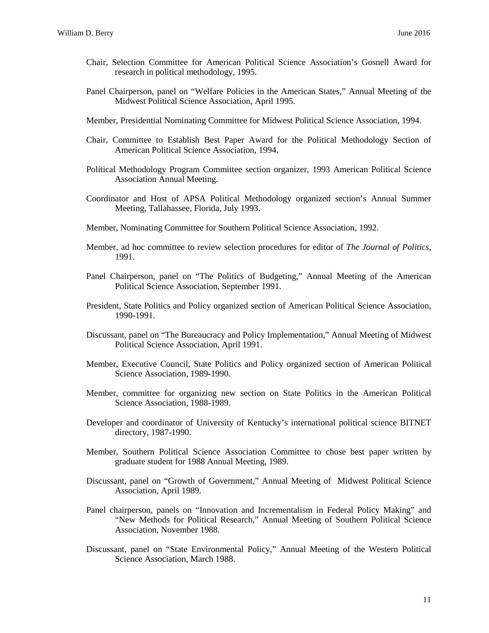- Chair, Selection Committee for American Political Science Association's Gosnell Award for research in political methodology, 1995.
- Panel Chairperson, panel on "Welfare Policies in the American States," Annual Meeting of the Midwest Political Science Association, April 1995.
- Member, Presidential Nominating Committee for Midwest Political Science Association, 1994.
- Chair, Committee to Establish Best Paper Award for the Political Methodology Section of American Political Science Association, 1994.
- Political Methodology Program Committee section organizer, 1993 American Political Science Association Annual Meeting.
- Coordinator and Host of APSA Political Methodology organized section's Annual Summer Meeting, Tallahassee, Florida, July 1993.
- Member, Nominating Committee for Southern Political Science Association, 1992.
- Member, ad hoc committee to review selection procedures for editor of *The Journal of Politics*, 1991.
- Panel Chairperson, panel on "The Politics of Budgeting," Annual Meeting of the American Political Science Association, September 1991.
- President, State Politics and Policy organized section of American Political Science Association, 1990-1991.
- Discussant, panel on "The Bureaucracy and Policy Implementation," Annual Meeting of Midwest Political Science Association, April 1991.
- Member, Executive Council, State Politics and Policy organized section of American Political Science Association, 1989-1990.
- Member, committee for organizing new section on State Politics in the American Political Science Association, 1988-1989.
- Developer and coordinator of University of Kentucky's international political science BITNET directory, 1987-1990.
- Member, Southern Political Science Association Committee to chose best paper written by graduate student for 1988 Annual Meeting, 1989.
- Discussant, panel on "Growth of Government," Annual Meeting of Midwest Political Science Association, April 1989.
- Panel chairperson, panels on "Innovation and Incrementalism in Federal Policy Making" and "New Methods for Political Research," Annual Meeting of Southern Political Science Association, November 1988.
- Discussant, panel on "State Environmental Policy," Annual Meeting of the Western Political Science Association, March 1988.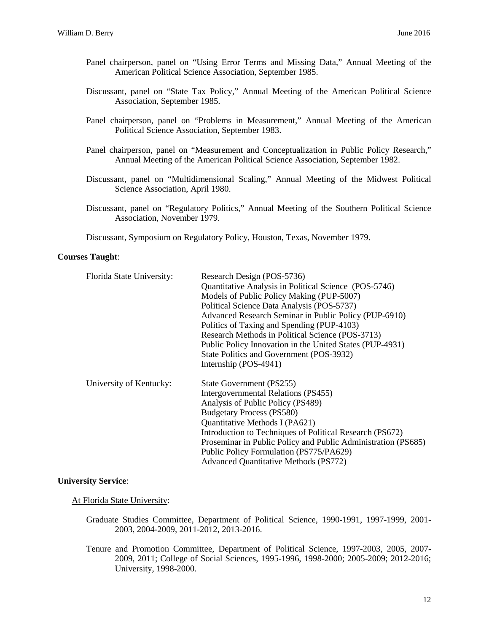- Panel chairperson, panel on "Using Error Terms and Missing Data," Annual Meeting of the American Political Science Association, September 1985.
- Discussant, panel on "State Tax Policy," Annual Meeting of the American Political Science Association, September 1985.
- Panel chairperson, panel on "Problems in Measurement," Annual Meeting of the American Political Science Association, September 1983.
- Panel chairperson, panel on "Measurement and Conceptualization in Public Policy Research," Annual Meeting of the American Political Science Association, September 1982.
- Discussant, panel on "Multidimensional Scaling," Annual Meeting of the Midwest Political Science Association, April 1980.
- Discussant, panel on "Regulatory Politics," Annual Meeting of the Southern Political Science Association, November 1979.

Discussant, Symposium on Regulatory Policy, Houston, Texas, November 1979.

# **Courses Taught**:

| Florida State University: | Research Design (POS-5736)                                    |  |
|---------------------------|---------------------------------------------------------------|--|
|                           | Quantitative Analysis in Political Science (POS-5746)         |  |
|                           | Models of Public Policy Making (PUP-5007)                     |  |
|                           | Political Science Data Analysis (POS-5737)                    |  |
|                           | Advanced Research Seminar in Public Policy (PUP-6910)         |  |
|                           | Politics of Taxing and Spending (PUP-4103)                    |  |
|                           | Research Methods in Political Science (POS-3713)              |  |
|                           | Public Policy Innovation in the United States (PUP-4931)      |  |
|                           | State Politics and Government (POS-3932)                      |  |
|                           | Internship (POS-4941)                                         |  |
| University of Kentucky:   | State Government (PS255)                                      |  |
|                           | Intergovernmental Relations (PS455)                           |  |
|                           | Analysis of Public Policy (PS489)                             |  |
|                           | <b>Budgetary Process (PS580)</b>                              |  |
|                           | Quantitative Methods I (PA621)                                |  |
|                           | Introduction to Techniques of Political Research (PS672)      |  |
|                           | Proseminar in Public Policy and Public Administration (PS685) |  |
|                           | Public Policy Formulation (PS775/PA629)                       |  |
|                           | <b>Advanced Quantitative Methods (PS772)</b>                  |  |

#### **University Service**:

At Florida State University:

- Graduate Studies Committee, Department of Political Science, 1990-1991, 1997-1999, 2001- 2003, 2004-2009, 2011-2012, 2013-2016.
- Tenure and Promotion Committee, Department of Political Science, 1997-2003, 2005, 2007- 2009, 2011; College of Social Sciences, 1995-1996, 1998-2000; 2005-2009; 2012-2016; University, 1998-2000.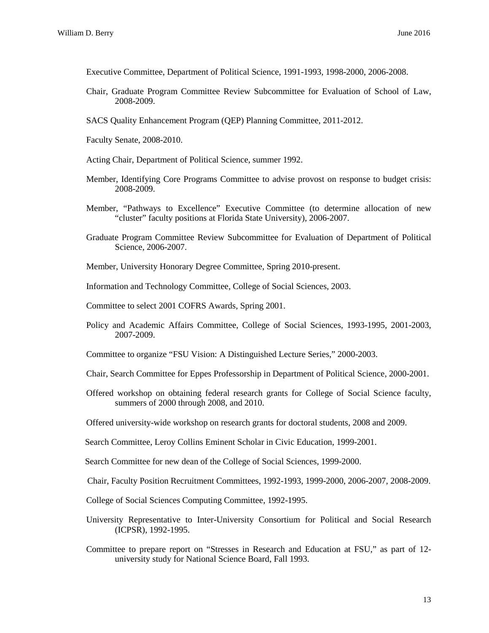Executive Committee, Department of Political Science, 1991-1993, 1998-2000, 2006-2008.

- Chair, Graduate Program Committee Review Subcommittee for Evaluation of School of Law, 2008-2009.
- SACS Quality Enhancement Program (QEP) Planning Committee, 2011-2012.
- Faculty Senate, 2008-2010.
- Acting Chair, Department of Political Science, summer 1992.
- Member, Identifying Core Programs Committee to advise provost on response to budget crisis: 2008-2009.
- Member, "Pathways to Excellence" Executive Committee (to determine allocation of new "cluster" faculty positions at Florida State University), 2006-2007.
- Graduate Program Committee Review Subcommittee for Evaluation of Department of Political Science, 2006-2007.
- Member, University Honorary Degree Committee, Spring 2010-present.
- Information and Technology Committee, College of Social Sciences, 2003.
- Committee to select 2001 COFRS Awards, Spring 2001.
- Policy and Academic Affairs Committee, College of Social Sciences, 1993-1995, 2001-2003, 2007-2009.
- Committee to organize "FSU Vision: A Distinguished Lecture Series," 2000-2003.
- Chair, Search Committee for Eppes Professorship in Department of Political Science, 2000-2001.
- Offered workshop on obtaining federal research grants for College of Social Science faculty, summers of 2000 through 2008, and 2010.
- Offered university-wide workshop on research grants for doctoral students, 2008 and 2009.
- Search Committee, Leroy Collins Eminent Scholar in Civic Education, 1999-2001.

Search Committee for new dean of the College of Social Sciences, 1999-2000.

Chair, Faculty Position Recruitment Committees, 1992-1993, 1999-2000, 2006-2007, 2008-2009.

- College of Social Sciences Computing Committee, 1992-1995.
- University Representative to Inter-University Consortium for Political and Social Research (ICPSR), 1992-1995.
- Committee to prepare report on "Stresses in Research and Education at FSU," as part of 12 university study for National Science Board, Fall 1993.